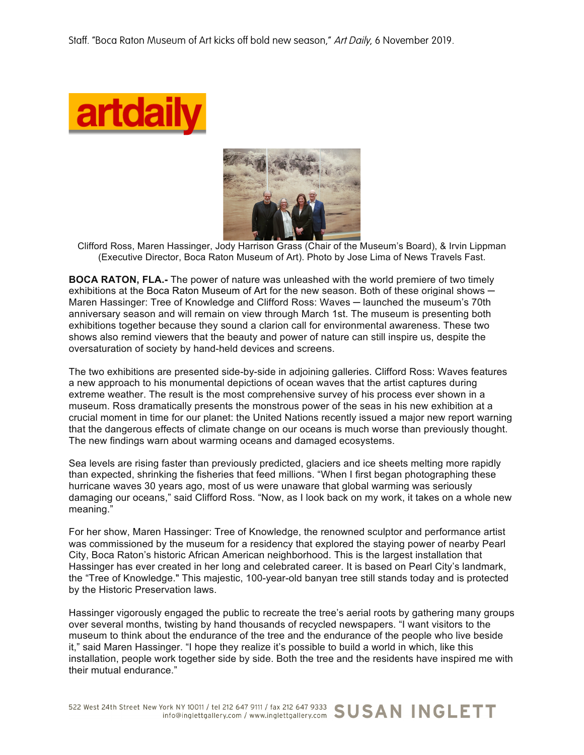



Clifford Ross, Maren Hassinger, Jody Harrison Grass (Chair of the Museum's Board), & Irvin Lippman (Executive Director, Boca Raton Museum of Art). Photo by Jose Lima of News Travels Fast.

**BOCA RATON, FLA.-** The power of nature was unleashed with the world premiere of two timely exhibitions at the Boca Raton Museum of Art for the new season. Both of these original shows — Maren Hassinger: Tree of Knowledge and Clifford Ross: Waves — launched the museum's 70th anniversary season and will remain on view through March 1st. The museum is presenting both exhibitions together because they sound a clarion call for environmental awareness. These two shows also remind viewers that the beauty and power of nature can still inspire us, despite the oversaturation of society by hand-held devices and screens.

The two exhibitions are presented side-by-side in adjoining galleries. Clifford Ross: Waves features a new approach to his monumental depictions of ocean waves that the artist captures during extreme weather. The result is the most comprehensive survey of his process ever shown in a museum. Ross dramatically presents the monstrous power of the seas in his new exhibition at a crucial moment in time for our planet: the United Nations recently issued a major new report warning that the dangerous effects of climate change on our oceans is much worse than previously thought. The new findings warn about warming oceans and damaged ecosystems.

Sea levels are rising faster than previously predicted, glaciers and ice sheets melting more rapidly than expected, shrinking the fisheries that feed millions. "When I first began photographing these hurricane waves 30 years ago, most of us were unaware that global warming was seriously damaging our oceans," said Clifford Ross. "Now, as I look back on my work, it takes on a whole new meaning."

For her show, Maren Hassinger: Tree of Knowledge, the renowned sculptor and performance artist was commissioned by the museum for a residency that explored the staying power of nearby Pearl City, Boca Raton's historic African American neighborhood. This is the largest installation that Hassinger has ever created in her long and celebrated career. It is based on Pearl City's landmark, the "Tree of Knowledge." This majestic, 100-year-old banyan tree still stands today and is protected by the Historic Preservation laws.

Hassinger vigorously engaged the public to recreate the tree's aerial roots by gathering many groups over several months, twisting by hand thousands of recycled newspapers. "I want visitors to the museum to think about the endurance of the tree and the endurance of the people who live beside it," said Maren Hassinger. "I hope they realize it's possible to build a world in which, like this installation, people work together side by side. Both the tree and the residents have inspired me with their mutual endurance."